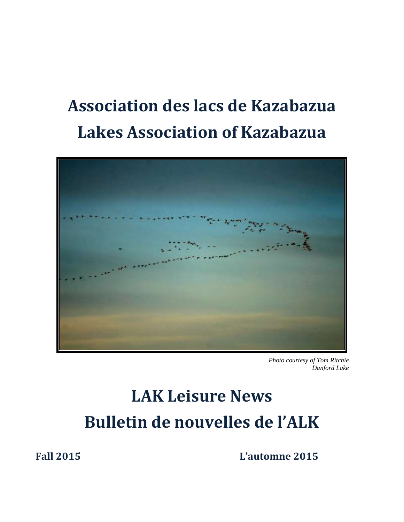# **Association des lacs de Kazabazua Lakes Association of Kazabazua**



*Photo courtesy of Tom Ritchie Danford Lake*

# **LAK Leisure News Bulletin de nouvelles de l'ALK**

**Fall 2015 L'automne 2015**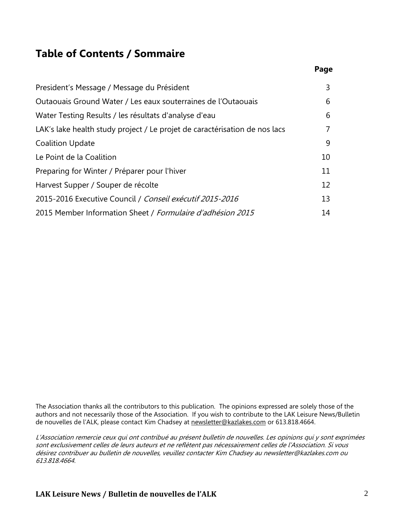#### **Table of Contents / Sommaire**

| President's Message / Message du Président                                 | 3              |
|----------------------------------------------------------------------------|----------------|
| Outaouais Ground Water / Les eaux souterraines de l'Outaouais              | 6              |
| Water Testing Results / les résultats d'analyse d'eau                      | 6              |
| LAK's lake health study project / Le projet de caractérisation de nos lacs | $\overline{7}$ |
| <b>Coalition Update</b>                                                    | 9              |
| Le Point de la Coalition                                                   | 10             |
| Preparing for Winter / Préparer pour l'hiver                               | 11             |
| Harvest Supper / Souper de récolte                                         | 12             |
| 2015-2016 Executive Council / Conseil exécutif 2015-2016                   | 13             |
| 2015 Member Information Sheet / Formulaire d'adhésion 2015                 | 14             |

The Association thanks all the contributors to this publication. The opinions expressed are solely those of the authors and not necessarily those of the Association. If you wish to contribute to the LAK Leisure News/Bulletin de nouvelles de l'ALK, please contact Kim Chadsey at [newsletter@kazlakes.com](mailto:newsletter@kazlakes.com) or 613.818.4664.

L'Association remercie ceux qui ont contribué au présent bulletin de nouvelles. Les opinions qui y sont exprimées sont exclusivement celles de leurs auteurs et ne reflètent pas nécessairement celles de l'Association. Si vous désirez contribuer au bulletin de nouvelles, veuillez contacter Kim Chadsey au newsletter@kazlakes.com ou 613.818.4664.

 **Page**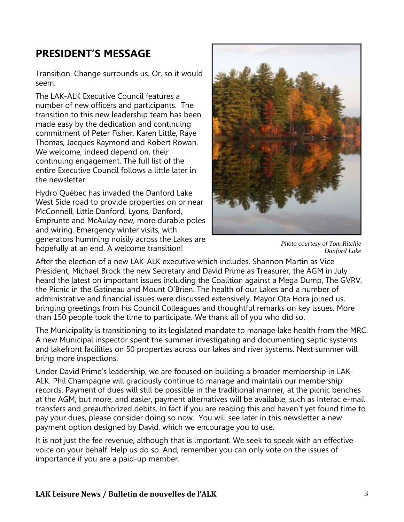## **PRESIDENT'S MESSAGE**

Transition. Change surrounds us. Or, so it would seem.

The LAK-ALK Executive Council features a number of new officers and participants. The transition to this new leadership team has been made easy by the dedication and continuing commitment of Peter Fisher, Karen Little, Raye Thomas, Jacques Raymond and Robert Rowan. We welcome, indeed depend on, their continuing engagement. The full list of the entire Executive Council follows a little later in the newsletter.

Hydro Québec has invaded the Danford Lake West Side road to provide properties on or near McConnell, Little Danford, Lyons, Danford, Emprunte and McAulay new, more durable poles and wiring. Emergency winter visits, with generators humming noisily across the Lakes are hopefully at an end. A welcome transition!



*Photo courtesy of Tom Ritchie Danford Lake*

After the election of a new LAK-ALK executive which includes, Shannon Martin as Vice President, Michael Brock the new Secretary and David Prime as Treasurer, the AGM in July heard the latest on important issues including the Coalition against a Mega Dump, The GVRV, the Picnic in the Gatineau and Mount O'Brien. The health of our Lakes and a number of administrative and financial issues were discussed extensively. Mayor Ota Hora joined us, bringing greetings from his Council Colleagues and thoughtful remarks on key issues. More than 150 people took the time to participate. We thank all of you who did so.

The Municipality is transitioning to its legislated mandate to manage lake health from the MRC. A new Municipal inspector spent the summer investigating and documenting septic systems and lakefront facilities on 50 properties across our lakes and river systems. Next summer will bring more inspections.

Under David Prime's leadership, we are focused on building a broader membership in LAK-ALK. Phil Champagne will graciously continue to manage and maintain our membership records. Payment of dues will still be possible in the traditional manner, at the picnic benches at the AGM, but more, and easier, payment alternatives will be available, such as Interac e-mail transfers and preauthorized debits. In fact if you are reading this and haven't yet found time to pay your dues, please consider doing so now. You will see later in this newsletter a new payment option designed by David, which we encourage you to use.

It is not just the fee revenue, although that is important. We seek to speak with an effective voice on your behalf. Help us do so. And, remember you can only vote on the issues of importance if you are a paid-up member.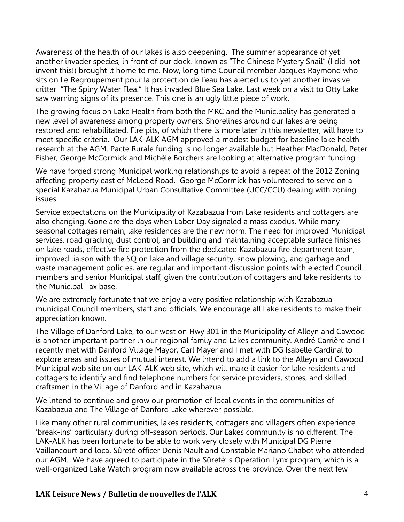Awareness of the health of our lakes is also deepening. The summer appearance of yet another invader species, in front of our dock, known as "The Chinese Mystery Snail" (I did not invent this!) brought it home to me. Now, long time Council member Jacques Raymond who sits on Le Regroupement pour la protection de l'eau has alerted us to yet another invasive critter "The Spiny Water Flea." It has invaded Blue Sea Lake. Last week on a visit to Otty Lake I saw warning signs of its presence. This one is an ugly little piece of work.

The growing focus on Lake Health from both the MRC and the Municipality has generated a new level of awareness among property owners. Shorelines around our lakes are being restored and rehabilitated. Fire pits, of which there is more later in this newsletter, will have to meet specific criteria. Our LAK-ALK AGM approved a modest budget for baseline lake health research at the AGM. Pacte Rurale funding is no longer available but Heather MacDonald, Peter Fisher, George McCormick and Michèle Borchers are looking at alternative program funding.

We have forged strong Municipal working relationships to avoid a repeat of the 2012 Zoning affecting property east of McLeod Road. George McCormick has volunteered to serve on a special Kazabazua Municipal Urban Consultative Committee (UCC/CCU) dealing with zoning issues.

Service expectations on the Municipality of Kazabazua from Lake residents and cottagers are also changing. Gone are the days when Labor Day signaled a mass exodus. While many seasonal cottages remain, lake residences are the new norm. The need for improved Municipal services, road grading, dust control, and building and maintaining acceptable surface finishes on lake roads, effective fire protection from the dedicated Kazabazua fire department team, improved liaison with the SQ on lake and village security, snow plowing, and garbage and waste management policies, are regular and important discussion points with elected Council members and senior Municipal staff, given the contribution of cottagers and lake residents to the Municipal Tax base.

We are extremely fortunate that we enjoy a very positive relationship with Kazabazua municipal Council members, staff and officials. We encourage all Lake residents to make their appreciation known.

The Village of Danford Lake, to our west on Hwy 301 in the Municipality of Alleyn and Cawood is another important partner in our regional family and Lakes community. André Carrière and I recently met with Danford Village Mayor, Carl Mayer and I met with DG Isabelle Cardinal to explore areas and issues of mutual interest. We intend to add a link to the Alleyn and Cawood Municipal web site on our LAK-ALK web site, which will make it easier for lake residents and cottagers to identify and find telephone numbers for service providers, stores, and skilled craftsmen in the Village of Danford and in Kazabazua

We intend to continue and grow our promotion of local events in the communities of Kazabazua and The Village of Danford Lake wherever possible.

Like many other rural communities, lakes residents, cottagers and villagers often experience 'break-ins' particularly during off-season periods. Our Lakes community is no different. The LAK-ALK has been fortunate to be able to work very closely with Municipal DG Pierre Vaillancourt and local Sûreté officer Denis Nault and Constable Mariano Chabot who attended our AGM. We have agreed to participate in the Sûreté' s Operation Lynx program, which is a well-organized Lake Watch program now available across the province. Over the next few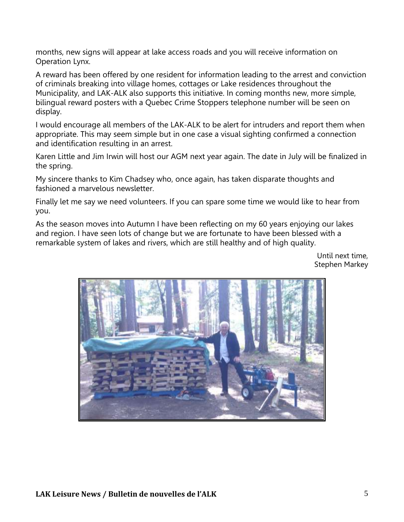months, new signs will appear at lake access roads and you will receive information on Operation Lynx.

A reward has been offered by one resident for information leading to the arrest and conviction of criminals breaking into village homes, cottages or Lake residences throughout the Municipality, and LAK-ALK also supports this initiative. In coming months new, more simple, bilingual reward posters with a Quebec Crime Stoppers telephone number will be seen on display.

I would encourage all members of the LAK-ALK to be alert for intruders and report them when appropriate. This may seem simple but in one case a visual sighting confirmed a connection and identification resulting in an arrest.

Karen Little and Jim Irwin will host our AGM next year again. The date in July will be finalized in the spring.

My sincere thanks to Kim Chadsey who, once again, has taken disparate thoughts and fashioned a marvelous newsletter.

Finally let me say we need volunteers. If you can spare some time we would like to hear from you.

As the season moves into Autumn I have been reflecting on my 60 years enjoying our lakes and region. I have seen lots of change but we are fortunate to have been blessed with a remarkable system of lakes and rivers, which are still healthy and of high quality.

> Until next time, Stephen Markey

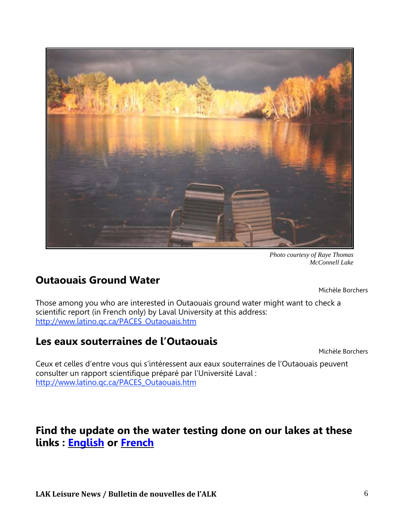

*Photo courtesy of Raye Thomas McConnell Lake*

## **Outaouais Ground Water**

Michèle Borchers

Those among you who are interested in Outaouais ground water might want to check a scientific report (in French only) by Laval University at this address: [http://www.latino.qc.ca/PACES\\_Outaouais.htm](http://www.latino.qc.ca/PACES_Outaouais.htm)

## **Les eaux souterraines de l'Outaouais**

Michèle Borchers

Ceux et celles d'entre vous qui s'intéressent aux eaux souterraines de l'Outaouais peuvent consulter un rapport scientifique préparé par l'Université Laval : [http://www.latino.qc.ca/PACES\\_Outaouais.htm](http://www.latino.qc.ca/PACES_Outaouais.htm)

#### **Find the update on the water testing done on our lakes at these links : [English](http://www.kazlakes.com/?page_id=454) or [French](http://www.kazlakes.com/?page_id=454&lang=fr)**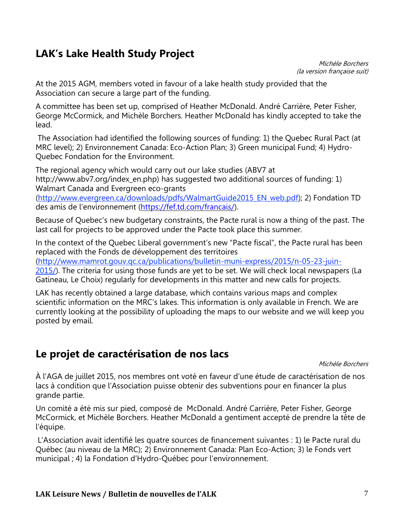## **LAK's Lake Health Study Project**

Michèle Borchers (la version française suit)

At the 2015 AGM, members voted in favour of a lake health study provided that the Association can secure a large part of the funding.

A committee has been set up, comprised of Heather McDonald. André Carrière, Peter Fisher, George McCormick, and Michèle Borchers. Heather McDonald has kindly accepted to take the lead.

The Association had identified the following sources of funding: 1) the Quebec Rural Pact (at MRC level); 2) Environnement Canada: Eco-Action Plan; 3) Green municipal Fund; 4) Hydro-Quebec Fondation for the Environment.

The regional agency which would carry out our lake studies (ABV7 at http://www.abv7.org/index\_en.php) has suggested two additional sources of funding: 1) Walmart Canada and Evergreen eco-grants [\(http://www.evergreen.ca/downloads/pdfs/WalmartGuide2015\\_EN\\_web.pdf\)](http://www.evergreen.ca/downloads/pdfs/WalmartGuide2015_EN_web.pdf); 2) Fondation TD

des amis de l'environnement [\(https://fef.td.com/francais/\)](https://fef.td.com/francais/).

Because of Quebec's new budgetary constraints, the Pacte rural is now a thing of the past. The last call for projects to be approved under the Pacte took place this summer.

In the context of the Quebec Liberal government's new "Pacte fiscal", the Pacte rural has been replaced with the Fonds de développement des territoires [\(http://www.mamrot.gouv.qc.ca/publications/bulletin-muni-express/2015/n-05-23-juin-](http://www.mamrot.gouv.qc.ca/publications/bulletin-muni-express/2015/n-05-23-juin-2015/)[2015/\)](http://www.mamrot.gouv.qc.ca/publications/bulletin-muni-express/2015/n-05-23-juin-2015/). The criteria for using those funds are yet to be set. We will check local newspapers (La Gatineau, Le Choix) regularly for developments in this matter and new calls for projects.

LAK has recently obtained a large database, which contains various maps and complex scientific information on the MRC's lakes. This information is only available in French. We are currently looking at the possibility of uploading the maps to our website and we will keep you posted by email.

## **Le projet de caractérisation de nos lacs**

Michèle Borchers

À l'AGA de juillet 2015, nos membres ont voté en faveur d'une étude de caractérisation de nos lacs à condition que l'Association puisse obtenir des subventions pour en financer la plus grande partie.

Un comité a été mis sur pied, composé de McDonald. André Carrière, Peter Fisher, George McCormick, et Michèle Borchers. Heather McDonald a gentiment accepté de prendre la tête de l'équipe.

L'Association avait identifié les quatre sources de financement suivantes : 1) le Pacte rural du Québec (au niveau de la MRC); 2) Environnement Canada: Plan Eco-Action; 3) le Fonds vert municipal ; 4) la Fondation d'Hydro-Québec pour l'environnement.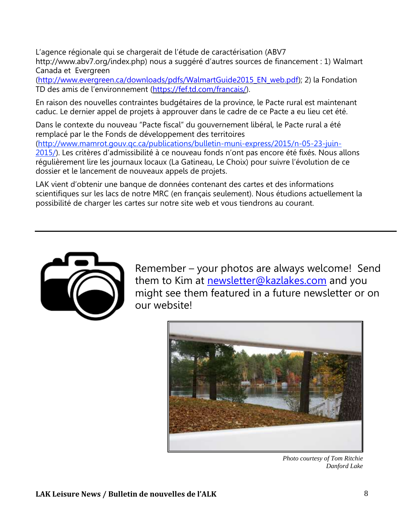L'agence régionale qui se chargerait de l'étude de caractérisation (ABV7 http://www.abv7.org/index.php) nous a suggéré d'autres sources de financement : 1) Walmart Canada et Evergreen

[\(http://www.evergreen.ca/downloads/pdfs/WalmartGuide2015\\_EN\\_web.pdf\)](http://www.evergreen.ca/downloads/pdfs/WalmartGuide2015_EN_web.pdf); 2) la Fondation TD des amis de l'environnement [\(https://fef.td.com/francais/\)](https://fef.td.com/francais/).

En raison des nouvelles contraintes budgétaires de la province, le Pacte rural est maintenant caduc. Le dernier appel de projets à approuver dans le cadre de ce Pacte a eu lieu cet été.

Dans le contexte du nouveau "Pacte fiscal" du gouvernement libéral, le Pacte rural a été remplacé par le the Fonds de développement des territoires [\(http://www.mamrot.gouv.qc.ca/publications/bulletin-muni-express/2015/n-05-23-juin-](http://www.mamrot.gouv.qc.ca/publications/bulletin-muni-express/2015/n-05-23-juin-2015/)[2015/\)](http://www.mamrot.gouv.qc.ca/publications/bulletin-muni-express/2015/n-05-23-juin-2015/). Les critères d'admissibilité à ce nouveau fonds n'ont pas encore été fixés. Nous allons régulièrement lire les journaux locaux (La Gatineau, Le Choix) pour suivre l'évolution de ce dossier et le lancement de nouveaux appels de projets.

LAK vient d'obtenir une banque de données contenant des cartes et des informations scientifiques sur les lacs de notre MRC (en français seulement). Nous étudions actuellement la possibilité de charger les cartes sur notre site web et vous tiendrons au courant.



Remember – your photos are always welcome! Send them to Kim at [newsletter@kazlakes.com](mailto:newsletter@kazlakes.com) and you might see them featured in a future newsletter or on our website!



*Photo courtesy of Tom Ritchie Danford Lake*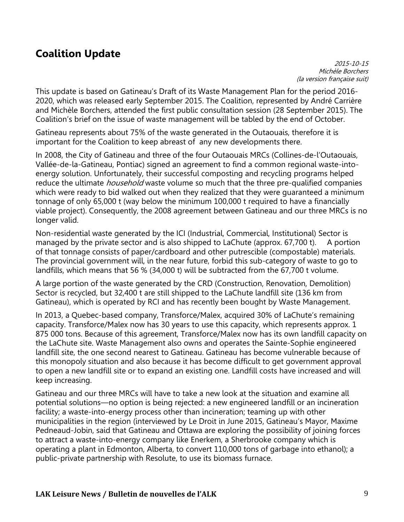## **Coalition Update**

2015-10-15 Michèle Borchers (la version française suit)

This update is based on Gatineau's Draft of its Waste Management Plan for the period 2016- 2020, which was released early September 2015. The Coalition, represented by André Carrière and Michèle Borchers, attended the first public consultation session (28 September 2015). The Coalition's brief on the issue of waste management will be tabled by the end of October.

Gatineau represents about 75% of the waste generated in the Outaouais, therefore it is important for the Coalition to keep abreast of any new developments there.

In 2008, the City of Gatineau and three of the four Outaouais MRCs (Collines-de-l'Outaouais, Vallée-de-la-Gatineau, Pontiac) signed an agreement to find a common regional waste-intoenergy solution. Unfortunately, their successful composting and recycling programs helped reduce the ultimate *household* waste volume so much that the three pre-qualified companies which were ready to bid walked out when they realized that they were guaranteed a minimum tonnage of only 65,000 t (way below the minimum 100,000 t required to have a financially viable project). Consequently, the 2008 agreement between Gatineau and our three MRCs is no longer valid.

Non-residential waste generated by the ICI (Industrial, Commercial, Institutional) Sector is managed by the private sector and is also shipped to LaChute (approx.  $67,700$  t). A portion of that tonnage consists of paper/cardboard and other putrescible (compostable) materials. The provincial government will, in the near future, forbid this sub-category of waste to go to landfills, which means that 56 % (34,000 t) will be subtracted from the 67,700 t volume.

A large portion of the waste generated by the CRD (Construction, Renovation, Demolition) Sector is recycled, but 32,400 t are still shipped to the LaChute landfill site (136 km from Gatineau), which is operated by RCI and has recently been bought by Waste Management.

In 2013, a Quebec-based company, Transforce/Malex, acquired 30% of LaChute's remaining capacity. Transforce/Malex now has 30 years to use this capacity, which represents approx. 1 875 000 tons. Because of this agreement, Transforce/Malex now has its own landfill capacity on the LaChute site. Waste Management also owns and operates the Sainte-Sophie engineered landfill site, the one second nearest to Gatineau. Gatineau has become vulnerable because of this monopoly situation and also because it has become difficult to get government approval to open a new landfill site or to expand an existing one. Landfill costs have increased and will keep increasing.

Gatineau and our three MRCs will have to take a new look at the situation and examine all potential solutions—no option is being rejected: a new engineered landfill or an incineration facility; a waste-into-energy process other than incineration; teaming up with other municipalities in the region (interviewed by Le Droit in June 2015, Gatineau's Mayor, Maxime Pedneaud-Jobin, said that Gatineau and Ottawa are exploring the possibility of joining forces to attract a waste-into-energy company like Enerkem, a Sherbrooke company which is operating a plant in Edmonton, Alberta, to convert 110,000 tons of garbage into ethanol); a public-private partnership with Resolute, to use its biomass furnace.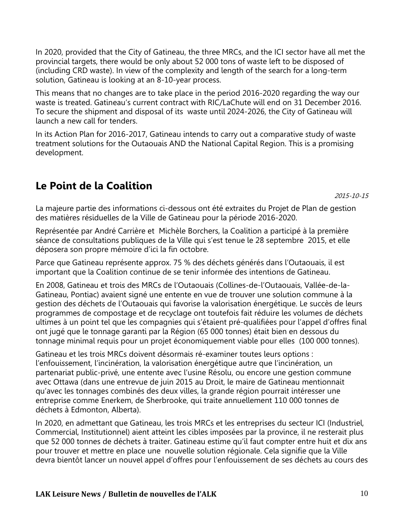In 2020, provided that the City of Gatineau, the three MRCs, and the ICI sector have all met the provincial targets, there would be only about 52 000 tons of waste left to be disposed of (including CRD waste). In view of the complexity and length of the search for a long-term solution, Gatineau is looking at an 8-10-year process.

This means that no changes are to take place in the period 2016-2020 regarding the way our waste is treated. Gatineau's current contract with RIC/LaChute will end on 31 December 2016. To secure the shipment and disposal of its waste until 2024-2026, the City of Gatineau will launch a new call for tenders.

In its Action Plan for 2016-2017, Gatineau intends to carry out a comparative study of waste treatment solutions for the Outaouais AND the National Capital Region. This is a promising development.

## **Le Point de la Coalition**

2015-10-15

La majeure partie des informations ci-dessous ont été extraites du Projet de Plan de gestion des matières résiduelles de la Ville de Gatineau pour la période 2016-2020.

Représentée par André Carrière et Michèle Borchers, la Coalition a participé à la première séance de consultations publiques de la Ville qui s'est tenue le 28 septembre 2015, et elle déposera son propre mémoire d'ici la fin octobre.

Parce que Gatineau représente approx. 75 % des déchets générés dans l'Outaouais, il est important que la Coalition continue de se tenir informée des intentions de Gatineau.

En 2008, Gatineau et trois des MRCs de l'Outaouais (Collines-de-l'Outaouais, Vallée-de-la-Gatineau, Pontiac) avaient signé une entente en vue de trouver une solution commune à la gestion des déchets de l'Outaouais qui favorise la valorisation énergétique. Le succès de leurs programmes de compostage et de recyclage ont toutefois fait réduire les volumes de déchets ultimes à un point tel que les compagnies qui s'étaient pré-qualifiées pour l'appel d'offres final ont jugé que le tonnage garanti par la Région (65 000 tonnes) était bien en dessous du tonnage minimal requis pour un projet économiquement viable pour elles (100 000 tonnes).

Gatineau et les trois MRCs doivent désormais ré-examiner toutes leurs options : l'enfouissement, l'incinération, la valorisation énergétique autre que l'incinération, un partenariat public-privé, une entente avec l'usine Résolu, ou encore une gestion commune avec Ottawa (dans une entrevue de juin 2015 au Droit, le maire de Gatineau mentionnait qu'avec les tonnages combinés des deux villes, la grande région pourrait intéresser une entreprise comme Enerkem, de Sherbrooke, qui traite annuellement 110 000 tonnes de déchets à Edmonton, Alberta).

In 2020, en admettant que Gatineau, les trois MRCs et les entreprises du secteur ICI (Industriel, Commercial, Institutionnel) aient atteint les cibles imposées par la province, il ne resterait plus que 52 000 tonnes de déchets à traiter. Gatineau estime qu'il faut compter entre huit et dix ans pour trouver et mettre en place une nouvelle solution régionale. Cela signifie que la Ville devra bientôt lancer un nouvel appel d'offres pour l'enfouissement de ses déchets au cours des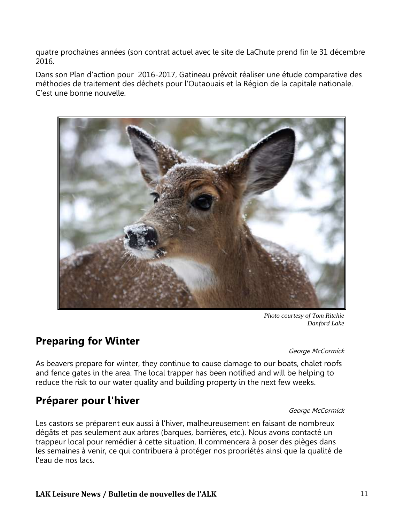quatre prochaines années (son contrat actuel avec le site de LaChute prend fin le 31 décembre 2016.

Dans son Plan d'action pour 2016-2017, Gatineau prévoit réaliser une étude comparative des méthodes de traitement des déchets pour l'Outaouais et la Région de la capitale nationale. C'est une bonne nouvelle.



*Photo courtesy of Tom Ritchie Danford Lake*

#### **Preparing for Winter**

George McCormick

As beavers prepare for winter, they continue to cause damage to our boats, chalet roofs and fence gates in the area. The local trapper has been notified and will be helping to reduce the risk to our water quality and building property in the next few weeks.

## **Préparer pour l'hiver**

#### George McCormick

Les castors se préparent eux aussi à l'hiver, malheureusement en faisant de nombreux dégâts et pas seulement aux arbres (barques, barrières, etc.). Nous avons contacté un trappeur local pour remédier à cette situation. Il commencera à poser des pièges dans les semaines à venir, ce qui contribuera à protéger nos propriétés ainsi que la qualité de l'eau de nos lacs.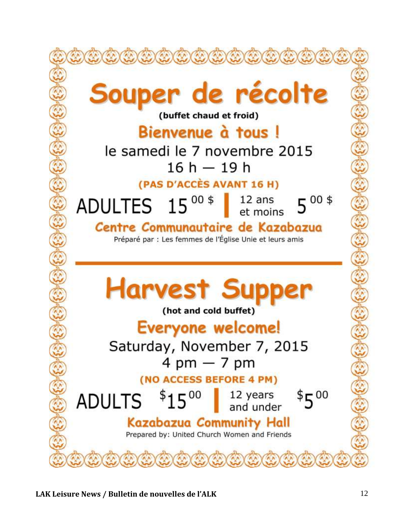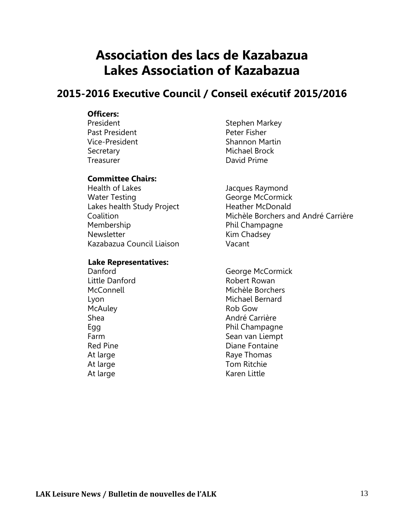## **Association des lacs de Kazabazua Lakes Association of Kazabazua**

#### **2015-2016 Executive Council / Conseil exécutif 2015/2016**

#### **Officers:**

Past President **Past Peter Fisher** Treasurer **David Prime** 

#### **Committee Chairs:**

Health of Lakes **Fig. 2018** Jacques Raymond Water Testing **George McCormick** Lakes health Study Project Heather McDonald Membership **Phil Champagne** Newsletter **Kim Chadsey** Kazabazua Council Liaison Vacant

#### **Lake Representatives:**

McAuley **Rob** Gow At large Karen Little

President **Stephen Markey** Vice-President Shannon Martin Secretary Michael Brock

Coalition Michèle Borchers and André Carrière

Danford George McCormick Little Danford **Robert Rowan**  McConnell Michèle Borchers Lyon Michael Bernard Shea **André Carrière** Egg Phil Champagne Farm Sean van Liempt Red Pine **Diane** Fontaine At large and the contract of the Raye Thomas At large Tom Ritchie